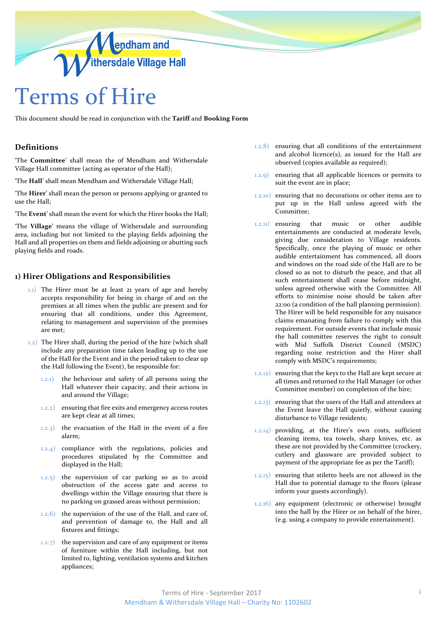

This document should be read in conjunction with the **Tariff** and **Booking Form**

## **Definitions**

'The **Committee**' shall mean the of Mendham and Withersdale Village Hall committee (acting as operator of the Hall);

'The **Hall**' shall mean Mendham and Withersdale Village Hall;

'The **Hirer**' shall mean the person or persons applying or granted to use the Hall;

'The **Event**' shall mean the event for which the Hirer books the Hall;

'The **Village**' means the village of Withersdale and surrounding area, including but not limited to the playing fields adjoining the Hall and all properties on them and fields adjoining or abutting such playing fields and roads.

# **1) Hirer Obligations and Responsibilities**

- 1.1) The Hirer must be at least 21 years of age and hereby accepts responsibility for being in charge of and on the premises at all times when the public are present and for ensuring that all conditions, under this Agreement, relating to management and supervision of the premises are met;
- 1.2) The Hirer shall, during the period of the hire (which shall include any preparation time taken leading up to the use of the Hall for the Event and in the period taken to clear up the Hall following the Event), be responsible for:
	- 1.2.1) the behaviour and safety of all persons using the Hall whatever their capacity, and their actions in and around the Village;
	- 1.2.2) ensuring that fire exits and emergency access routes are kept clear at all times;
	- 1.2.3) the evacuation of the Hall in the event of a fire alarm;
	- 1.2.4) compliance with the regulations, policies and procedures stipulated by the Committee and displayed in the Hall;
	- $(1.2.5)$  the supervision of car parking so as to avoid obstruction of the access gate and access to dwellings within the Village ensuring that there is no parking on grassed areas without permission;
	- 1.2.6) the supervision of the use of the Hall, and care of, and prevention of damage to, the Hall and all fixtures and fittings;
	- 1.2.7) the supervision and care of any equipment or items of furniture within the Hall including, but not limited to, lighting, ventilation systems and kitchen appliances;
- 1.2.8) ensuring that all conditions of the entertainment and alcohol licence(s), as issued for the Hall are observed (copies available as required);
- 1.2.9) ensuring that all applicable licences or permits to suit the event are in place;
- 1.2.10) ensuring that no decorations or other items are to put up in the Hall unless agreed with the Committee;
- 1.2.11) ensuring that music or other audible entertainments are conducted at moderate levels, giving due consideration to Village residents. Specifically, once the playing of music or other audible entertainment has commenced, all doors and windows on the road side of the Hall are to be closed so as not to disturb the peace, and that all such entertainment shall cease before midnight, unless agreed otherwise with the Committee. All efforts to minimise noise should be taken after 22:00 (a condition of the hall planning permission). The Hirer will be held responsible for any nuisance claims emanating from failure to comply with this requirement. For outside events that include music the hall committee reserves the right to consult with Mid Suffolk District Council (MSDC) regarding noise restriction and the Hirer shall comply with MSDC's requirements;
- 1.2.12) ensuring that the keys to the Hall are kept secure at all times and returned to the Hall Manager (or other Committee member) on completion of the hire;
- 1.2.13) ensuring that the users of the Hall and attendees at the Event leave the Hall quietly, without causing disturbance to Village residents;
- 1.2.14) providing, at the Hirer's own costs, sufficient cleaning items, tea towels, sharp knives, etc. as these are not provided by the Committee (crockery, cutlery and glassware are provided subject to payment of the appropriate fee as per the Tariff);
- 1.2.15) ensuring that stiletto heels are not allowed in the Hall due to potential damage to the floors (please inform your guests accordingly).
- 1.2.16) any equipment (electronic or otherwise) brought into the hall by the Hirer or on behalf of the hirer, (e.g. using a company to provide entertainment).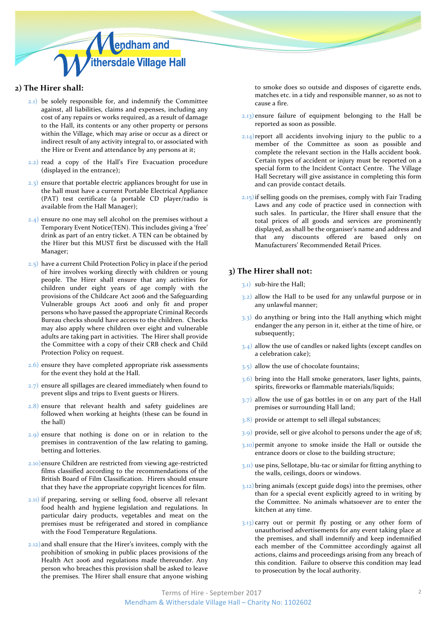

## **2) The Hirer shall:**

- 2.1) be solely responsible for, and indemnify the Committee against, all liabilities, claims and expenses, including any cost of any repairs or works required, as a result of damage to the Hall, its contents or any other property or persons within the Village, which may arise or occur as a direct or indirect result of any activity integral to, or associated with the Hire or Event and attendance by any persons at it;
- 2.2) read a copy of the Hall's Fire Evacuation procedure (displayed in the entrance);
- 2.3) ensure that portable electric appliances brought for use in the hall must have a current Portable Electrical Appliance (PAT) test certificate (a portable CD player/radio is available from the Hall Manager);
- 2.4) ensure no one may sell alcohol on the premises without a Temporary Event Notice(TEN). This includes giving a 'free' drink as part of an entry ticket. A TEN can be obtained by the Hirer but this MUST first be discussed with the Hall Manager;
- 2.5) have a current Child Protection Policy in place if the period of hire involves working directly with children or young people. The Hirer shall ensure that any activities for children under eight years of age comply with the provisions of the Childcare Act 2006 and the Safeguarding Vulnerable groups Act 2006 and only fit and proper persons who have passed the appropriate Criminal Records Bureau checks should have access to the children. Checks may also apply where children over eight and vulnerable adults are taking part in activities. The Hirer shall provide the Committee with a copy of their CRB check and Child Protection Policy on request.
- 2.6) ensure they have completed appropriate risk assessments for the event they hold at the Hall.
- $(2.7)$  ensure all spillages are cleared immediately when found to prevent slips and trips to Event guests or Hirers.
- 2.8) ensure that relevant health and safety guidelines are followed when working at heights (these can be found in the hall)
- 2.9) ensure that nothing is done on or in relation to the premises in contravention of the law relating to gaming, betting and lotteries.
- 2.10)ensure Children are restricted from viewing age-restricted films classified according to the recommendations of the British Board of Film Classification. Hirers should ensure that they have the appropriate copyright licences for film.
- 2.11) if preparing, serving or selling food, observe all relevant food health and hygiene legislation and regulations. In particular dairy products, vegetables and meat on the premises must be refrigerated and stored in compliance with the Food Temperature Regulations.
- 2.12)and shall ensure that the Hirer's invitees, comply with the prohibition of smoking in public places provisions of the Health Act 2006 and regulations made thereunder. Any person who breaches this provision shall be asked to leave the premises. The Hirer shall ensure that anyone wishing

to smoke does so outside and disposes of cigarette ends, matches etc. in a tidy and responsible manner, so as not to cause a fire.

- 2.13) ensure failure of equipment belonging to the Hall be reported as soon as possible.
- 2.14) report all accidents involving injury to the public to a member of the Committee as soon as possible and complete the relevant section in the Halls accident book. Certain types of accident or injury must be reported on a special form to the Incident Contact Centre. The Village Hall Secretary will give assistance in completing this form and can provide contact details.
- $2.15$ ) if selling goods on the premises, comply with Fair Trading Laws and any code of practice used in connection with such sales. In particular, the Hirer shall ensure that the total prices of all goods and services are prominently displayed, as shall be the organiser's name and address and that any discounts offered are based only on Manufacturers' Recommended Retail Prices.

## **3) The Hirer shall not:**

- 3.1) sub-hire the Hall;
- 3.2) allow the Hall to be used for any unlawful purpose or in any unlawful manner;
- 3.3) do anything or bring into the Hall anything which might endanger the any person in it, either at the time of hire, or subsequently;
- 3.4) allow the use of candles or naked lights (except candles on a celebration cake);
- 3.5) allow the use of chocolate fountains;
- 3.6) bring into the Hall smoke generators, laser lights, paints, spirits, fireworks or flammable materials/liquids;
- $3.7)$  allow the use of gas bottles in or on any part of the Hall premises or surrounding Hall land;
- 3.8) provide or attempt to sell illegal substances;
- 3.9) provide, sell or give alcohol to persons under the age of 18;
- 3.10)permit anyone to smoke inside the Hall or outside the entrance doors or close to the building structure;
- 3.11) use pins, Sellotape, blu-tac or similar for fitting anything to the walls, ceilings, doors or windows.
- 3.12)bring animals (except guide dogs) into the premises, other than for a special event explicitly agreed to in writing by the Committee. No animals whatsoever are to enter the kitchen at any time.
- 3.13) carry out or permit fly posting or any other form of unauthorised advertisements for any event taking place at the premises, and shall indemnify and keep indemnified each member of the Committee accordingly against all actions, claims and proceedings arising from any breach of this condition. Failure to observe this condition may lead to prosecution by the local authority.